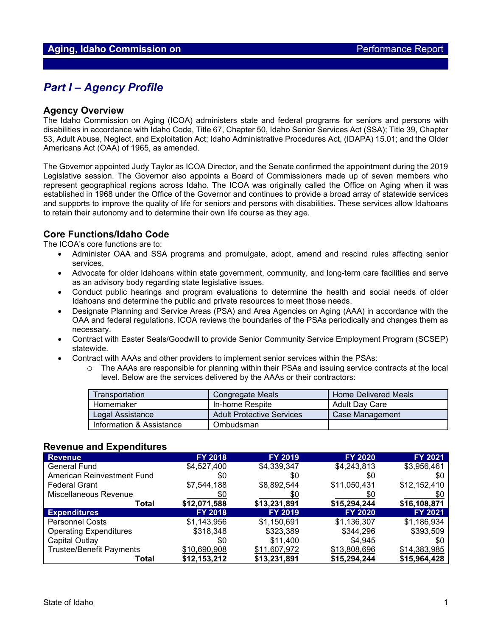## *Part I – Agency Profile*

#### **Agency Overview**

The Idaho Commission on Aging (ICOA) administers state and federal programs for seniors and persons with disabilities in accordance with Idaho Code, Title 67, Chapter 50, Idaho Senior Services Act (SSA); Title 39, Chapter 53, Adult Abuse, Neglect, and Exploitation Act; Idaho Administrative Procedures Act, (IDAPA) 15.01; and the Older Americans Act (OAA) of 1965, as amended.

The Governor appointed Judy Taylor as ICOA Director, and the Senate confirmed the appointment during the 2019 Legislative session. The Governor also appoints a Board of Commissioners made up of seven members who represent geographical regions across Idaho. The ICOA was originally called the Office on Aging when it was established in 1968 under the Office of the Governor and continues to provide a broad array of statewide services and supports to improve the quality of life for seniors and persons with disabilities. These services allow Idahoans to retain their autonomy and to determine their own life course as they age.

### **Core Functions/Idaho Code**

The ICOA's core functions are to:

- Administer OAA and SSA programs and promulgate, adopt, amend and rescind rules affecting senior services.
- Advocate for older Idahoans within state government, community, and long-term care facilities and serve as an advisory body regarding state legislative issues.
- Conduct public hearings and program evaluations to determine the health and social needs of older Idahoans and determine the public and private resources to meet those needs.
- Designate Planning and Service Areas (PSA) and Area Agencies on Aging (AAA) in accordance with the OAA and federal regulations. ICOA reviews the boundaries of the PSAs periodically and changes them as necessary.
- Contract with Easter Seals/Goodwill to provide Senior Community Service Employment Program (SCSEP) statewide.
- Contract with AAAs and other providers to implement senior services within the PSAs:
	- o The AAAs are responsible for planning within their PSAs and issuing service contracts at the local level. Below are the services delivered by the AAAs or their contractors:

| Transportation           | Congregate Meals                 | <b>Home Delivered Meals</b> |  |
|--------------------------|----------------------------------|-----------------------------|--|
| Homemaker                | In-home Respite                  | Adult Dav Care              |  |
| Legal Assistance         | <b>Adult Protective Services</b> | Case Management             |  |
| Information & Assistance | Ombudsman                        |                             |  |

### **Revenue and Expenditures**

| <b>Revenue</b>                  | <b>FY 2018</b> | <b>FY 2019</b> | <b>FY 2020</b> | <b>FY 2021</b> |
|---------------------------------|----------------|----------------|----------------|----------------|
| <b>General Fund</b>             | \$4,527,400    | \$4,339,347    | \$4,243,813    | \$3,956,461    |
| American Reinvestment Fund      | \$0            | \$0            | \$0            | \$0            |
| <b>Federal Grant</b>            | \$7,544,188    | \$8,892,544    | \$11,050,431   | \$12,152,410   |
| Miscellaneous Revenue           | \$0            | \$0            | \$0            | \$0            |
| Total                           | \$12,071,588   | \$13,231,891   | \$15,294,244   | \$16,108,871   |
| <b>Expenditures</b>             | <b>FY 2018</b> | FY 2019        | <b>FY 2020</b> | <b>FY 2021</b> |
| <b>Personnel Costs</b>          | \$1,143,956    | \$1,150,691    | \$1,136,307    | \$1,186,934    |
| <b>Operating Expenditures</b>   | \$318,348      | \$323,389      | \$344,296      | \$393,509      |
| Capital Outlay                  | \$0            | \$11,400       | \$4,945        | \$0            |
| <b>Trustee/Benefit Payments</b> | \$10,690,908   | \$11,607,972   | \$13,808,696   | \$14,383,985   |
| Total                           | \$12,153,212   | \$13,231,891   | \$15,294,244   | \$15,964,428   |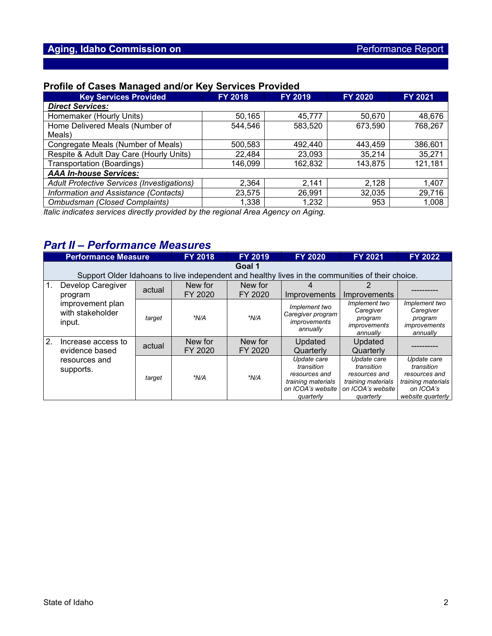## **Profile of Cases Managed and/or Key Services Provided**

| <b>Key Services Provided</b>                      | <b>FY 2018</b> | FY 2019 | <b>FY 2020</b> | <b>FY 2021</b> |  |  |  |  |
|---------------------------------------------------|----------------|---------|----------------|----------------|--|--|--|--|
| <b>Direct Services:</b>                           |                |         |                |                |  |  |  |  |
| Homemaker (Hourly Units)                          | 50,165         | 45.777  | 50,670         | 48,676         |  |  |  |  |
| Home Delivered Meals (Number of                   | 544,546        | 583,520 | 673,590        | 768,267        |  |  |  |  |
| Meals)                                            |                |         |                |                |  |  |  |  |
| Congregate Meals (Number of Meals)                | 500,583        | 492,440 | 443,459        | 386,601        |  |  |  |  |
| Respite & Adult Day Care (Hourly Units)           | 22,484         | 23,093  | 35,214         | 35,271         |  |  |  |  |
| <b>Transportation (Boardings)</b>                 | 146,099        | 162,832 | 143,875        | 121,181        |  |  |  |  |
| <b>AAA In-house Services:</b>                     |                |         |                |                |  |  |  |  |
| <b>Adult Protective Services (Investigations)</b> | 2,364          | 2,141   | 2,128          | 1,407          |  |  |  |  |
| Information and Assistance (Contacts)             | 23,575         | 26,991  | 32,035         | 29,716         |  |  |  |  |
| <b>Ombudsman (Closed Complaints)</b>              | 1,338          | 1,232   | 953            | 1,008          |  |  |  |  |

*Italic indicates services directly provided by the regional Area Agency on Aging.*

# *Part II – Performance Measures*

|               | <b>Performance Measure</b>                                                                                 |        | <b>FY 2018</b>     | <b>FY 2019</b>     | <b>FY 2020</b>                                                                                     | FY 2021                                                                                            | <b>FY 2022</b>                                                                                     |
|---------------|------------------------------------------------------------------------------------------------------------|--------|--------------------|--------------------|----------------------------------------------------------------------------------------------------|----------------------------------------------------------------------------------------------------|----------------------------------------------------------------------------------------------------|
|               | Goal 1<br>Support Older Idahoans to live independent and healthy lives in the communities of their choice. |        |                    |                    |                                                                                                    |                                                                                                    |                                                                                                    |
| $\mathbf 1$ . | Develop Caregiver<br>program                                                                               | actual | New for<br>FY 2020 | New for<br>FY 2020 | Improvements                                                                                       | Improvements                                                                                       |                                                                                                    |
|               | improvement plan<br>with stakeholder<br>input.                                                             | target | *N/A               | $*N/A$             | Implement two<br>Caregiver program<br><i>improvements</i><br>annually                              | Implement two<br>Caregiver<br>program<br>improvements<br>annually                                  | Implement two<br>Caregiver<br>program<br><i>improvements</i><br>annually                           |
| 2.            | Increase access to<br>evidence based                                                                       | actual | New for<br>FY 2020 | New for<br>FY 2020 | Updated<br>Quarterly                                                                               | Updated<br>Quarterly                                                                               |                                                                                                    |
|               | resources and<br>supports.                                                                                 | target | *N/A               | $*N/A$             | Update care<br>transition<br>resources and<br>training materials<br>on ICOA's website<br>quarterly | Update care<br>transition<br>resources and<br>training materials<br>on ICOA's website<br>quarterly | Update care<br>transition<br>resources and<br>training materials<br>on ICOA's<br>website quarterly |